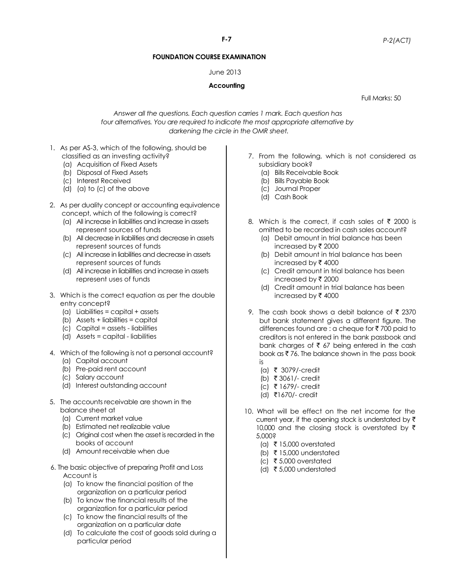## **FOUNDATION COURSE EXAMINATION**

## June 2013

## **Accounting**

Full Marks: 50

*Answer all the questions. Each question carries 1 mark. Each question has four alternatives. You are required to indicate the most appropriate alternative by darkening the circle in the OMR sheet.*

- 1. As per AS-3, which of the following, should be classified as an investing activity?
	- (a) Acquisition of Fixed Assets
	- (b) Disposal of Fixed Assets
	- (c) Interest Received
	- (d) (a) to (c) of the above
- 2. As per duality concept or accounting equivalence concept, which of the following is correct?
	- (a) All increase in liabilities and increase in assets represent sources of funds
	- (b) All decrease in liabilities and decrease in assets represent sources of funds
	- (c) All increase in liabilities and decrease in assets represent sources of funds
	- (d) All increase in liabilities and increase in assets represent uses of funds
- 3. Which is the correct equation as per the double entry concept?
	- (a) Liabilities = capital + assets
	- (b) Assets + liabilities = capital
	- (c) Capital = assets liabilities
	- (d) Assets = capital liabilities
- 4. Which of the following is not a personal account?
	- (a) Capital account
	- (b) Pre-paid rent account
	- (c) Salary account
	- (d) Interest outstanding account
- 5. The accounts receivable are shown in the balance sheet at
	- (a) Current market value
	- (b) Estimated net realizable value
	- (c) Original cost when the asset is recorded in the books of account
	- (d) Amount receivable when due
- 6. The basic objective of preparing Profit and Loss
	- Account is
	- (a) To know the financial position of the organization on a particular period
	- (b) To know the financial results of the organization for a particular period
	- (c) To know the financial results of the organization on a particular date
	- (d) To calculate the cost of goods sold during a particular period
- 7. From the following, which is not considered as subsidiary book?
	- (a) Bills Receivable Book
	- (b) Bills Payable Book
	- (c) Journal Proper
	- (d) Cash Book
- 8. Which is the correct, if cash sales of  $\bar{\tau}$  2000 is omitted to be recorded in cash sales account?
	- (a) Debit amount in trial balance has been increased by  $\bar{\tau}$  2000
	- (b) Debit amount in trial balance has been increased by  $\bar{\tau}$  4000
	- (c) Credit amount in trial balance has been increased by  $\bar{\tau}$  2000
	- (d) Credit amount in trial balance has been increased by  $\bar{\tau}$  4000
- 9. The cash book shows a debit balance of  $\bar{\tau}$  2370 but bank statement gives a different figure. The differences found are : a cheque for  $\bar{\tau}$  700 paid to creditors is not entered in the bank passbook and bank charges of  $\bar{\tau}$  67 being entered in the cash book as  $\bar{z}$  76. The balance shown in the pass book is
	- (a)  $\bar{\tau}$  3079/-credit
	- (b) ` 3061/- credit
	- (c) ` 1679/- credit
	- (d) `1670/- credit
- 10. What will be effect on the net income for the current year, if the opening stock is understated by  $\bar{\tau}$ 10,000 and the closing stock is overstated by  $\bar{\tau}$ 5,000?
	- (a)  $\bar{\tau}$  15,000 overstated
	- (b)  $\bar{\tau}$  15,000 understated
	- (c) ₹ 5,000 overstated
	- (d)  $\bar{\tau}$  5,000 understated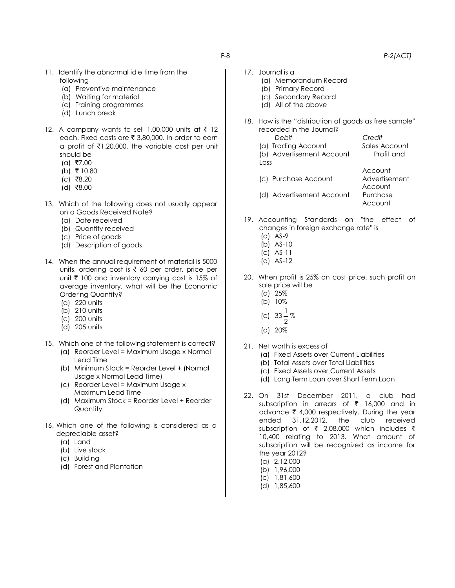- 11. Identify the abnormal idle time from the following
	- (a) Preventive maintenance
	- (b) Waiting for material
	- (c) Training programmes
	- (d) Lunch break
- 12. A company wants to sell 1,00,000 units at  $\bar{\tau}$  12 each. Fixed costs are  $\bar{\bar{\tau}}$  3,80,000. In order to earn a profit of  $\bar{\tau}$ 1,20,000, the variable cost per unit should be
	- $(a)$  ₹7.00
	- $(b) \bar{\tau} 10.80$
	- $(c)$  ₹8.20
	- $(d)$  ₹8.00
- 13. Which of the following does not usually appear on a Goods Received Note?
	- (a) Date received
	- (b) Quantity received
	- (c) Price of goods
	- (d) Description of goods
- 14. When the annual requirement of material is 5000 units, ordering cost is  $\bar{\tau}$  60 per order, price per unit  $\bar{\tau}$  100 and inventory carrying cost is 15% of average inventory, what will be the Economic Ordering Quantity?
	- (a) 220 units
	- (b) 210 units
	- (c) 200 units
	- (d) 205 units
- 15. Which one of the following statement is correct?
	- (a) Reorder Level = Maximum Usage x Normal Lead Time
	- (b) Minimum Stock = Reorder Level + (Normal Usage x Normal Lead Time)
	- (c) Reorder Level = Maximum Usage x Maximum Lead Time
	- (d) Maximum Stock = Reorder Level + Reorder Quantity
- 16. Which one of the following is considered as a depreciable asset?
	- (a) Land
	- (b) Live stock
	- (c) Building
	- (d) Forest and Plantation
- 17. Journal is a
	- (a) Memorandum Record
	- (b) Primary Record
	- (c) Secondary Record
	- (d) All of the above
- 18. How is the "distribution of goods as free sample'' recorded in the Journal? *Debit Credit*
	- (a) Trading Account Sales Account (b) Advertisement Account Profit and Loss Account (c) Purchase Account Advertisement Account (d) Advertisement Account Purchase Account
- 19. Accounting Standards on "the effect of changes in foreign exchange rate'' is
	- (a) AS-9 (b) AS-10
	- (c) AS-11
	- (d) AS-12
- 20. When profit is 25% on cost price, such profit on sale price will be
	- (a) 25%
	- (b) 10%
	- $(C)$  $\frac{1}{2}$  %
	- 2 (d) 20%
- 21. Net worth is excess of
	- (a) Fixed Assets over Current Liabilities
	- (b) Total Assets over Total Liabilities
	- (c) Fixed Assets over Current Assets
	- (d) Long Term Loan over Short Term Loan
- 22. On 31st December 2011, a club had subscription in arrears of  $\bar{\tau}$  16,000 and in advance  $\bar{\tau}$  4,000 respectively. During the year ended 31.12.2012, the club received subscription of  $\bar{\tau}$  2,08,000 which includes  $\bar{\tau}$ 10,400 relating to 2013. What amount of subscription will be recognized as income for the year 2012?
	- (a) 2,12,000
	- (b) 1,96,000 (c) 1,81,600
	-
	- (d) 1,85,600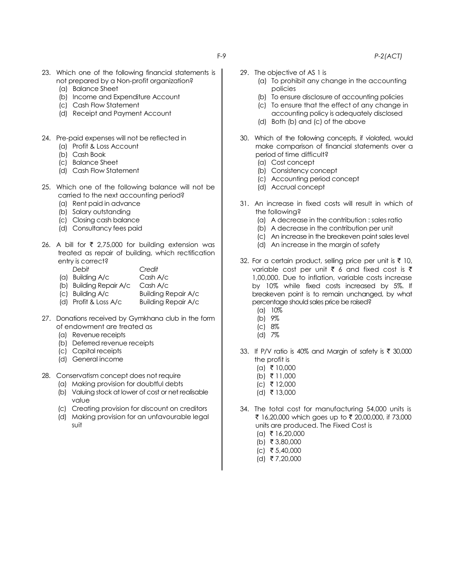- 23. Which one of the following financial statements is not prepared by a Non-profit organization?
	- (a) Balance Sheet
	- (b) Income and Expenditure Account
	- (c) Cash Flow Statement
	- (d) Receipt and Payment Account
- 24. Pre-paid expenses will not be reflected in
	- (a) Profit & Loss Account
	- (b) Cash Book
	- (c) Balance Sheet
	- (d) Cash Flow Statement
- 25. Which one of the following balance will not be carried to the next accounting period?
	- (a) Rent paid in advance
	- (b) Salary outstanding
	- (c) Closing cash balance
	- (d) Consultancy fees paid
- 26. A bill for  $\bar{\tau}$  2,75,000 for building extension was treated as repair of building, which rectification entry is correct?
	- *Debit Credit* (a) Building A/c Cash A/c (b) Building Repair A/c Cash A/c (c) Building A/c Building Repair A/c
	- (d) Profit & Loss A/c Building Repair A/c
- 27. Donations received by Gymkhana club in the form of endowment are treated as
	- (a) Revenue receipts
	- (b) Deferred revenue receipts
	- (c) Capital receipts
	- (d) General income
- 28. Conservatism concept does not require
	- (a) Making provision for doubtful debts
	- (b) Valuing stock at lower of cost or net realisable value
	- (c) Creating provision for discount on creditors
	- (d) Making provision for an unfavourable legal suit
- 29. The objective of AS 1 is
	- (a) To prohibit any change in the accounting policies
	- (b) To ensure disclosure of accounting policies
	- (c) To ensure that the effect of any change in accounting policy is adequately disclosed
	- (d) Both (b) and (c) of the above
- 30. Which of the following concepts, if violated, would make comparison of financial statements over a period of time difficult?
	- (a) Cost concept
	- (b) Consistency concept
	- (c) Accounting period concept
	- (d) Accrual concept
- 31. An increase in fixed costs will result in which of the following?
	- (a) A decrease in the contribution : sales ratio
	- (b) A decrease in the contribution per unit
	- (c) An increase in the breakeven point sales level
	- (d) An increase in the margin of safety
- 32. For a certain product, selling price per unit is  $\bar{\tau}$  10, variable cost per unit  $\bar{\tau}$  6 and fixed cost is  $\bar{\tau}$ 1,00,000. Due to inflation, variable costs increase by 10% while fixed costs increased by 5%. If breakeven point is to remain unchanged, by what percentage should sales price be raised?
	- (a) 10%
	- (b) 9%
	- (c) 8%
	- (d) 7%
- 33. If P/V ratio is 40% and Margin of safety is  $\bar{\tau}$  30,000 the profit is
	- $(a)$  ₹ 10,000
	- (b) ₹ 11,000
	- $(c)$  ₹ 12,000
	- $(d)$  ₹ 13,000
- 34. The total cost for manufacturing 54,000 units is ₹ 16,20,000 which goes up to ₹ 20,00,000, if 73,000 units are produced. The Fixed Cost is
	- $(a)$  ₹ 16,20,000
	- (b) ₹ 3,80,000
	- $(c)$  ₹ 5,40,000
	- $(d)$  ₹ 7,20,000

F-9 *P-2(ACT)*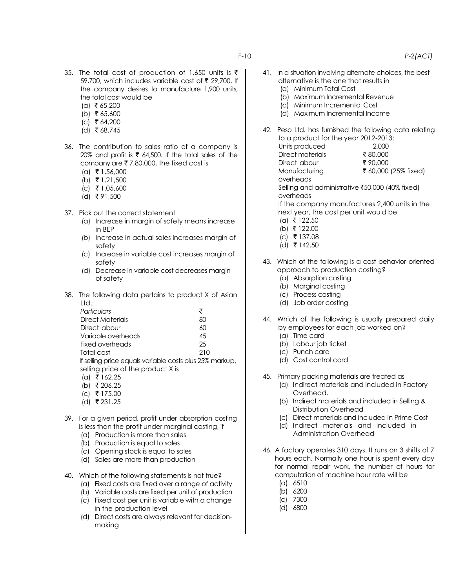- 35. The total cost of production of 1,650 units is  $\bar{\tau}$ 59,700, which includes variable cost of  $\bar{\tau}$  29,700. If the company desires to manufacture 1,900 units, the total cost would be
	- $(a)$  ₹ 65,200
	- (b) ₹ 65,600
	- $(c)$  ₹ 64,200
	- $(d)$  ₹ 68,745
- 36. The contribution to sales ratio of a company is 20% and profit is  $\bar{\tau}$  64,500. If the total sales of the company are  $\overline{\epsilon}$  7,80,000, the fixed cost is
	- $(a) \t{ } 1,56,000$
	- (b) ₹ 1,21,500
	- $(c)$  ₹ 1,05,600
	- $(d)$  ₹91,500
- 37. Pick out the correct statement
	- (a) Increase in margin of safety means increase in BEP
	- (b) Increase in actual sales increases margin of safety
	- (c) Increase in variable cost increases margin of safety
	- (d) Decrease in variable cost decreases margin of safety
- 38. The following data pertains to product X of Asian Ltd.:

| Particulars                                             | ₹   |  |
|---------------------------------------------------------|-----|--|
| Direct Materials                                        | 80  |  |
| Direct labour                                           | 60  |  |
| Variable overheads                                      | 45  |  |
| Fixed overheads                                         | 25  |  |
| Total cost                                              | 210 |  |
| If selling price equals variable costs plus 25% markup, |     |  |
| selling price of the product X is                       |     |  |
|                                                         |     |  |

- $(a)$  ₹ 162.25
- (b) ₹ 206.25
- $(c)$  ₹ 175.00
- $\text{(d)}$  ₹ 231.25
- 39. For a given period, profit under absorption costing is less than the profit under marginal costing, if
	- (a) Production is more than sales
	- (b) Production is equal to sales
	- (c) Opening stock is equal to sales
	- (d) Sales are more than production
- 40. Which of the following statements is not true?
	- (a) Fixed costs are fixed over a range of activity
	- (b) Variable costs are fixed per unit of production
	- (c) Fixed cost per unit is variable with a change in the production level
	- (d) Direct costs are always relevant for decisionmaking
- 41. In a situation involving alternate choices, the best alternative is the one that results in
	- (a) Minimum Total Cost
	- (b) Maximum Incremental Revenue
	- (c) Minimum Incremental Cost
	- (d) Maximum Incremental Income
- 42. Peso Ltd. has furnished the following data relating to a product for the year 2012-2013:

| Units produced                                 | 2,000                |  |
|------------------------------------------------|----------------------|--|
| Direct materials                               | ₹80.000              |  |
| Direct labour                                  | ₹90.000              |  |
| Manufacturing                                  | ₹ 60,000 (25% fixed) |  |
| overheads                                      |                      |  |
| Selling and administrative ₹50,000 (40% fixed) |                      |  |
| overheads                                      |                      |  |
| If the company manufactures 2,400 units in the |                      |  |
| next year, the cost per unit would be          |                      |  |
| (a) ₹ 122.50                                   |                      |  |
| (b) ₹ 122.00                                   |                      |  |
| (c) ₹137.08                                    |                      |  |

- $(d)$  ₹ 142.50
- 43. Which of the following is a cost behavior oriented approach to production costing?
	- (a) Absorption costing
	- (b) Marginal costing
	- (c) Process costing
	- (d) Job order costing
- 44. Which of the following is usually prepared daily by employees for each job worked on?
	- (a) Time card
	- (b) Labour job ticket
	- (c) Punch card
	- (d) Cost control card
- 45. Primary packing materials are treated as
	- (a) Indirect materials and included in Factory Overhead.
	- (b) Indirect materials and included in Selling & Distribution Overhead
	- (c) Direct materials and included in Prime Cost
	- (d) Indirect materials and included in Administration Overhead
- 46. A factory operates 310 days. It runs on 3 shifts of 7 hours each. Normally one hour is spent every day for normal repair work, the number of hours for computation of machine hour rate will be
	- (a) 6510
	- (b) 6200
	- (c) 7300
	- (d) 6800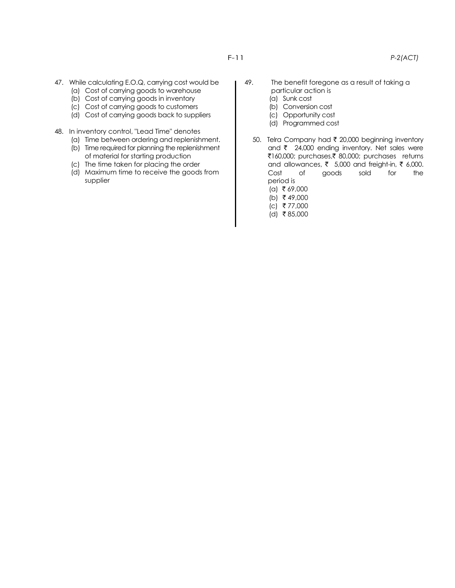- 47. While calculating E.O.Q, carrying cost would be
	- (a) Cost of carrying goods to warehouse
	- (b) Cost of carrying goods in inventory
	- (c) Cost of carrying goods to customers
	- (d) Cost of carrying goods back to suppliers
- 48. In inventory control, "Lead Time" denotes
	- (a) Time between ordering and replenishment.
	- (b) Time required for planning the replenishment of material for starting production
	- (c) The time taken for placing the order
	- (d) Maximum time to receive the goods from supplier
- 49. The benefit foregone as a result of taking a particular action is
	- (a) Sunk cost
	- (b) Conversion cost
	- (c) Opportunity cost
	- (d) Programmed cost
	- 50. Telra Company had  $\bar{\tau}$  20,000 beginning inventory and  $\bar{\tau}$  24,000 ending inventory. Net sales were ₹160,000; purchases,₹ 80,000; purchases returns and allowances,  $\bar{\tau}$  5,000 and freight-in,  $\bar{\tau}$  6,000. Cost of goods sold for the period is
		- $(a)$  ₹ 69,000
		- (b)  $\overline{5}$  49,000
		- $(c)$  ₹77,000
		- (d) ₹85,000